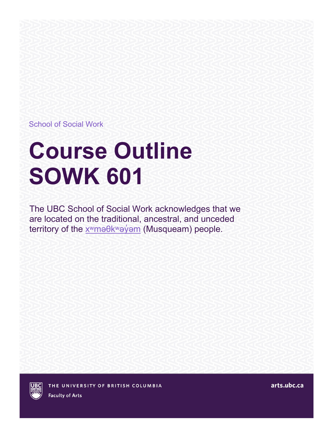School of Social Work

# **Course Outline SOWK 601**

The UBC School of Social Work acknowledges that we are located on the traditional, ancestral, and unceded territory of the xwma0kwayom (Musqueam) people.

arts.ubc.ca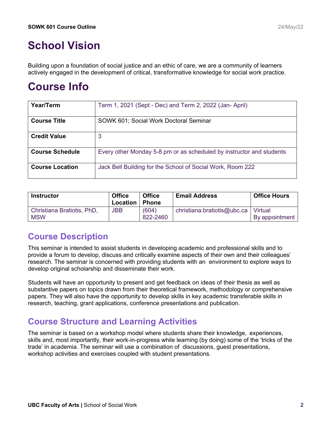# **School Vision**

Building upon a foundation of social justice and an ethic of care, we are a community of learners actively engaged in the development of critical, transformative knowledge for social work practice.

## **Course Info**

| Year/Term              | Term 1, 2021 (Sept - Dec) and Term 2, 2022 (Jan-April)               |
|------------------------|----------------------------------------------------------------------|
| <b>Course Title</b>    | SOWK 601; Social Work Doctoral Seminar                               |
| <b>Credit Value</b>    | 3                                                                    |
| <b>Course Schedule</b> | Every other Monday 5-8 pm or as scheduled by instructor and students |
| <b>Course Location</b> | Jack Bell Building for the School of Social Work, Room 222           |

| <b>Instructor</b>                        | <b>Office</b><br>Location | <b>Office</b><br><b>Phone</b> | <b>Email Address</b>        | <b>Office Hours</b>       |
|------------------------------------------|---------------------------|-------------------------------|-----------------------------|---------------------------|
| Christiana Bratiotis, PhD,<br><b>MSW</b> | <b>JBB</b>                | (604)<br>822-2460             | christiana.bratiotis@ubc.ca | Virtual<br>By appointment |

#### **Course Description**

This seminar is intended to assist students in developing academic and professional skills and to provide a forum to develop, discuss and critically examine aspects of their own and their colleagues' research. The seminar is concerned with providing students with an environment to explore ways to develop original scholarship and disseminate their work.

Students will have an opportunity to present and get feedback on ideas of their thesis as well as substantive papers on topics drawn from their theoretical framework, methodology or comprehensive papers. They will also have the opportunity to develop skills in key academic transferable skills in research, teaching, grant applications, conference presentations and publication.

### **Course Structure and Learning Activities**

The seminar is based on a workshop model where students share their knowledge, experiences, skills and, most importantly, their work-in-progress while learning (by doing) some of the 'tricks of the trade' in academia. The seminar will use a combination of discussions, guest presentations, workshop activities and exercises coupled with student presentations.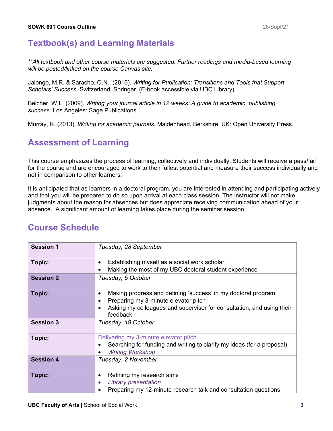#### **Textbook(s) and Learning Materials**

*\*\*All textbook and other course materials are suggested. Further readings and media-based learning will be posted/linked on the course Canvas site.* 

Jalongo, M.R. & Saracho, O.N., (2016). *Writing for Publication: Transitions and Tools that Support Scholars' Success*. Switzerland: Springer. (E-book accessible via UBC Library)

Belcher, W.L. (2009). *Writing your journal article in 12 weeks: A guide to academic publishing success.* Los Angeles: Sage Publications.

Murray, R. (2013). *Writing for academic journals*. Maidenhead, Berkshire, UK: Open University Press.

#### **Assessment of Learning**

This course emphasizes the process of learning, collectively and individually. Students will receive a pass/fail for the course and are encouraged to work to their fullest potential and measure their success individually and not in comparison to other learners.

It is anticipated that as learners in a doctoral program, you are interested in attending and participating actively and that you will be prepared to do so upon arrival at each class session. The instructor will not make judgments about the reason for absences but does appreciate receiving communication ahead of your absence. A significant amount of learning takes place during the seminar session.

#### **Course Schedule**

| <b>Session 1</b> | Tuesday, 28 September                                                                                                       |
|------------------|-----------------------------------------------------------------------------------------------------------------------------|
| Topic:           | Establishing myself as a social work scholar<br>$\bullet$                                                                   |
|                  | Making the most of my UBC doctoral student experience<br>$\bullet$                                                          |
| <b>Session 2</b> | Tuesday, 5 October                                                                                                          |
| <b>Topic:</b>    | Making progress and defining 'success' in my doctoral program<br>$\bullet$                                                  |
|                  | Preparing my 3-minute elevator pitch<br>$\bullet$                                                                           |
|                  | Asking my colleagues and supervisor for consultation, and using their<br>$\bullet$<br>feedback                              |
| <b>Session 3</b> | Tuesday, 19 October                                                                                                         |
| Topic:           | Delivering my 3-minute elevator pitch                                                                                       |
|                  | Searching for funding and writing to clarify my ideas (for a proposal)<br>$\bullet$<br><b>Writing Workshop</b><br>$\bullet$ |
| <b>Session 4</b> | Tuesday, 2 November                                                                                                         |
| Topic:           | Refining my research aims<br>$\bullet$                                                                                      |
|                  | <b>Library presentation</b><br>$\bullet$                                                                                    |
|                  | Preparing my 12-minute research talk and consultation questions                                                             |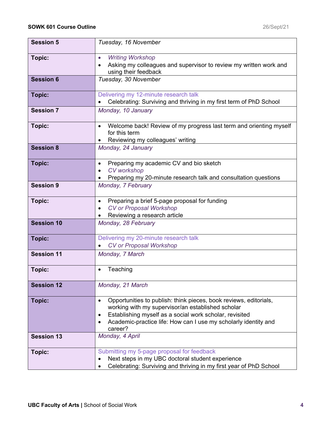| <b>Session 5</b>  | Tuesday, 16 November                                                                                                                                                                                                                                                                           |
|-------------------|------------------------------------------------------------------------------------------------------------------------------------------------------------------------------------------------------------------------------------------------------------------------------------------------|
| Topic:            | <b>Writing Workshop</b><br>$\bullet$<br>Asking my colleagues and supervisor to review my written work and<br>$\bullet$<br>using their feedback                                                                                                                                                 |
| <b>Session 6</b>  | Tuesday, 30 November                                                                                                                                                                                                                                                                           |
| Topic:            | Delivering my 12-minute research talk<br>Celebrating: Surviving and thriving in my first term of PhD School                                                                                                                                                                                    |
| <b>Session 7</b>  | Monday, 10 January                                                                                                                                                                                                                                                                             |
| Topic:            | Welcome back! Review of my progress last term and orienting myself<br>for this term<br>Reviewing my colleagues' writing<br>٠                                                                                                                                                                   |
| <b>Session 8</b>  | Monday, 24 January                                                                                                                                                                                                                                                                             |
| <b>Topic:</b>     | Preparing my academic CV and bio sketch<br>$\bullet$<br><b>CV</b> workshop<br>$\bullet$<br>Preparing my 20-minute research talk and consultation questions                                                                                                                                     |
| <b>Session 9</b>  | Monday, 7 February                                                                                                                                                                                                                                                                             |
| Topic:            | Preparing a brief 5-page proposal for funding<br>$\bullet$<br><b>CV or Proposal Workshop</b><br>$\bullet$<br>Reviewing a research article<br>$\bullet$                                                                                                                                         |
| <b>Session 10</b> | Monday, 28 February                                                                                                                                                                                                                                                                            |
| <b>Topic:</b>     | Delivering my 20-minute research talk<br><b>CV or Proposal Workshop</b>                                                                                                                                                                                                                        |
| <b>Session 11</b> | Monday, 7 March                                                                                                                                                                                                                                                                                |
| Topic:            | Teaching                                                                                                                                                                                                                                                                                       |
| <b>Session 12</b> | Monday, 21 March                                                                                                                                                                                                                                                                               |
| <b>Topic:</b>     | Opportunities to publish: think pieces, book reviews, editorials,<br>$\bullet$<br>working with my supervisor/an established scholar<br>Establishing myself as a social work scholar, revisited<br>$\bullet$<br>Academic-practice life: How can I use my scholarly identity and<br>٠<br>career? |
| <b>Session 13</b> | Monday, 4 April                                                                                                                                                                                                                                                                                |
| Topic:            | Submitting my 5-page proposal for feedback<br>Next steps in my UBC doctoral student experience<br>Celebrating: Surviving and thriving in my first year of PhD School                                                                                                                           |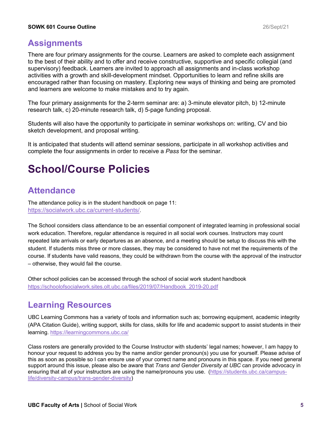#### **Assignments**

There are four primary assignments for the course. Learners are asked to complete each assignment to the best of their ability and to offer and receive constructive, supportive and specific collegial (and supervisory) feedback. Learners are invited to approach all assignments and in-class workshop activities with a growth and skill-development mindset. Opportunities to learn and refine skills are encouraged rather than focusing on mastery. Exploring new ways of thinking and being are promoted and learners are welcome to make mistakes and to try again.

The four primary assignments for the 2-term seminar are: a) 3-minute elevator pitch, b) 12-minute research talk, c) 20-minute research talk, d) 5-page funding proposal.

Students will also have the opportunity to participate in seminar workshops on: writing, CV and bio sketch development, and proposal writing.

It is anticipated that students will attend seminar sessions, participate in all workshop activities and complete the four assignments in order to receive a *Pass* for the seminar.

## **School/Course Policies**

#### **Attendance**

The attendance policy is in the student handbook on page 11: [https://socialwork.ubc.ca/current](https://www.mail.ubc.ca/owa/redir.aspx?C=YsXGYWLC6THvSXGBF5HsV5I_mdH_xaAqF_U_2kUC-Agke6-0ZOvVCA..&URL=https%3a%2f%2fsocialwork.ubc.ca%2fcurrent-students%2f)-students/.

The School considers class attendance to be an essential component of integrated learning in professional social work education. Therefore, regular attendance is required in all social work courses. Instructors may count repeated late arrivals or early departures as an absence, and a meeting should be setup to discuss this with the student. If students miss three or more classes, they may be considered to have not met the requirements of the course. If students have valid reasons, they could be withdrawn from the course with the approval of the instructor – otherwise, they would fail the course.

Other school policies can be accessed through the school of social work student handbook [https://schoolofsocialwork.sites.olt.ubc.ca/files/2019/07/Handbook\\_2019](https://schoolofsocialwork.sites.olt.ubc.ca/files/2019/07/Handbook_2019-20.pdf)-20.pdf

#### **Learning Resources**

UBC Learning Commons has a variety of tools and information such as; borrowing equipment, academic integrity (APA Citation Guide), writing support, skills for class, skills for life and academic support to assist students in their learning.<https://learningcommons.ubc.ca/>

Class rosters are generally provided to the Course Instructor with students' legal names; however, I am happy to honour your request to address you by the name and/or gender pronoun(s) you use for yourself. Please advise of this as soon as possible so I can ensure use of your correct name and pronouns in this space. If you need general support around this issue, please also be aware that *Trans and Gender Diversity at UBC* can provide advocacy in ensuring that all of your instructors are using the name/pronouns you use. ([https://students.ubc.ca/campus](https://students.ubc.ca/campus-life/diversity-campus/trans-gender-diversity)life/diversity-campus/trans[-gender-diversity](https://students.ubc.ca/campus-life/diversity-campus/trans-gender-diversity))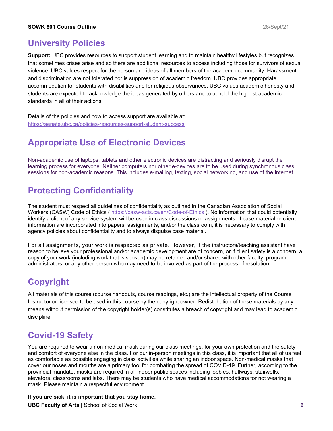#### **University Policies**

**Support:** UBC provides resources to support student learning and to maintain healthy lifestyles but recognizes that sometimes crises arise and so there are additional resources to access including those for survivors of sexual violence. UBC values respect for the person and ideas of all members of the academic community. Harassment and discrimination are not tolerated nor is suppression of academic freedom. UBC provides appropriate accommodation for students with disabilities and for religious observances. UBC values academic honesty and students are expected to acknowledge the ideas generated by others and to uphold the highest academic standards in all of their actions.

Details of the policies and how to access support are available at: [https://senate.ubc.ca/policies](https://senate.ubc.ca/policies-resources-support-student-success)-resources-support-student-success

## **Appropriate Use of Electronic Devices**

Non-academic use of laptops, tablets and other electronic devices are distracting and seriously disrupt the learning process for everyone. Neither computers nor other e-devices are to be used during synchronous class sessions for non-academic reasons. This includes e-mailing, texting, social networking, and use of the Internet.

### **Protecting Confidentiality**

The student must respect all guidelines of confidentiality as outlined in the Canadian Association of Social Workers (CASW) Code of Ethics ( https://casw-[acts.ca/en/Code](https://casw-acts.ca/en/Code-of-Ethics)-of-Ethics ). No information that could potentially identify a client of any service system will be used in class discussions or assignments. If case material or client information are incorporated into papers, assignments, and/or the classroom, it is necessary to comply with agency policies about confidentiality and to always disguise case material.

For all assignments, your work is respected as private. However, if the instructors/teaching assistant have reason to believe your professional and/or academic development are of concern, or if client safety is a concern, a copy of your work (including work that is spoken) may be retained and/or shared with other faculty, program administrators, or any other person who may need to be involved as part of the process of resolution.

#### **Copyright**

All materials of this course (course handouts, course readings, etc.) are the intellectual property of the Course Instructor or licensed to be used in this course by the copyright owner. Redistribution of these materials by any means without permission of the copyright holder(s) constitutes a breach of copyright and may lead to academic discipline.

### **Covid-19 Safety**

You are required to wear a non-medical mask during our class meetings, for your own protection and the safety and comfort of everyone else in the class. For our in-person meetings in this class, it is important that all of us feel as comfortable as possible engaging in class activities while sharing an indoor space. Non-medical masks that cover our noses and mouths are a primary tool for combating the spread of COVID-19. Further, according to the provincial mandate, masks are required in all indoor public spaces including lobbies, hallways, stairwells, elevators, classrooms and labs. There may be students who have medical accommodations for not wearing a mask. Please maintain a respectful environment.

#### **If you are sick, it is important that you stay home.**

**UBC Faculty of Arts |** School of Social Work **6**